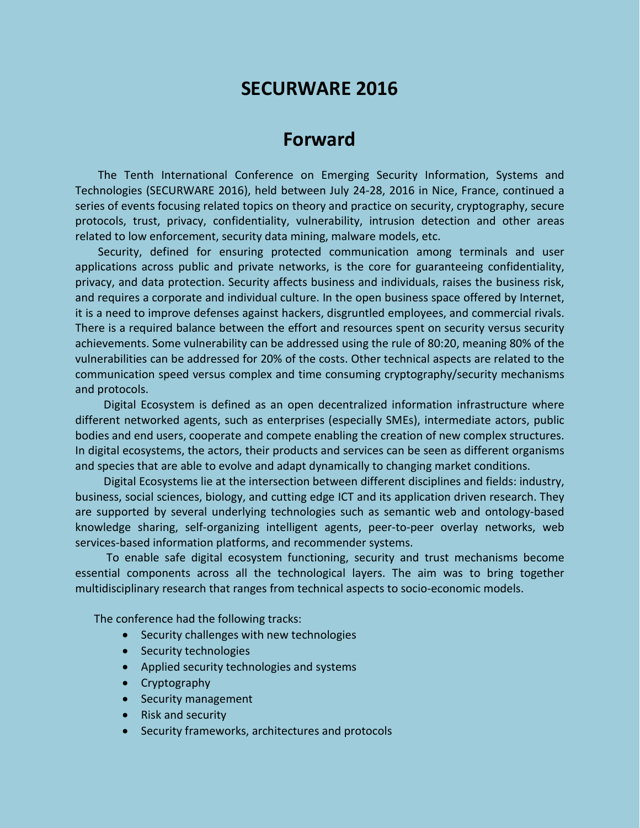# **SECURWARE 2016**

## **Forward**

The Tenth International Conference on Emerging Security Information, Systems and Technologies (SECURWARE 2016), held between July 24-28, 2016 in Nice, France, continued a series of events focusing related topics on theory and practice on security, cryptography, secure protocols, trust, privacy, confidentiality, vulnerability, intrusion detection and other areas related to low enforcement, security data mining, malware models, etc.

Security, defined for ensuring protected communication among terminals and user applications across public and private networks, is the core for guaranteeing confidentiality, privacy, and data protection. Security affects business and individuals, raises the business risk, and requires a corporate and individual culture. In the open business space offered by Internet, it is a need to improve defenses against hackers, disgruntled employees, and commercial rivals. There is a required balance between the effort and resources spent on security versus security achievements. Some vulnerability can be addressed using the rule of 80:20, meaning 80% of the vulnerabilities can be addressed for 20% of the costs. Other technical aspects are related to the communication speed versus complex and time consuming cryptography/security mechanisms and protocols.

Digital Ecosystem is defined as an open decentralized information infrastructure where different networked agents, such as enterprises (especially SMEs), intermediate actors, public bodies and end users, cooperate and compete enabling the creation of new complex structures. In digital ecosystems, the actors, their products and services can be seen as different organisms and species that are able to evolve and adapt dynamically to changing market conditions.

Digital Ecosystems lie at the intersection between different disciplines and fields: industry, business, social sciences, biology, and cutting edge ICT and its application driven research. They are supported by several underlying technologies such as semantic web and ontology-based knowledge sharing, self-organizing intelligent agents, peer-to-peer overlay networks, web services-based information platforms, and recommender systems.

To enable safe digital ecosystem functioning, security and trust mechanisms become essential components across all the technological layers. The aim was to bring together multidisciplinary research that ranges from technical aspects to socio-economic models.

The conference had the following tracks:

- Security challenges with new technologies
- Security technologies
- Applied security technologies and systems
- Cryptography
- Security management
- Risk and security
- Security frameworks, architectures and protocols